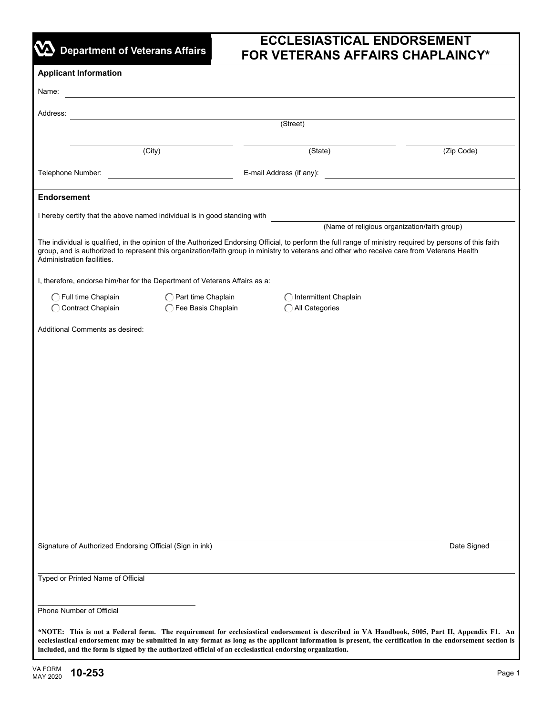|  |  | <b>VA</b> Department of Veterans Affairs |
|--|--|------------------------------------------|

# **ECCLESIASTICAL ENDORSEMENT FOR VETERANS AFFAIRS CHAPLAINCY\***

| <b>Applicant Information</b>                                                                                                                                                                                                                                                                                                                                                                                            |                                            |                                              |                                               |  |  |  |  |
|-------------------------------------------------------------------------------------------------------------------------------------------------------------------------------------------------------------------------------------------------------------------------------------------------------------------------------------------------------------------------------------------------------------------------|--------------------------------------------|----------------------------------------------|-----------------------------------------------|--|--|--|--|
| Name:                                                                                                                                                                                                                                                                                                                                                                                                                   |                                            |                                              |                                               |  |  |  |  |
| Address:                                                                                                                                                                                                                                                                                                                                                                                                                |                                            |                                              |                                               |  |  |  |  |
|                                                                                                                                                                                                                                                                                                                                                                                                                         |                                            | (Street)                                     |                                               |  |  |  |  |
| (City)                                                                                                                                                                                                                                                                                                                                                                                                                  |                                            | (State)                                      | (Zip Code)                                    |  |  |  |  |
| Telephone Number:                                                                                                                                                                                                                                                                                                                                                                                                       |                                            | E-mail Address (if any):                     | <u> 1980 - Andrea Andrew Maria (h. 1980).</u> |  |  |  |  |
|                                                                                                                                                                                                                                                                                                                                                                                                                         |                                            |                                              |                                               |  |  |  |  |
| <b>Endorsement</b>                                                                                                                                                                                                                                                                                                                                                                                                      |                                            |                                              |                                               |  |  |  |  |
| I hereby certify that the above named individual is in good standing with                                                                                                                                                                                                                                                                                                                                               |                                            | (Name of religious organization/faith group) |                                               |  |  |  |  |
| The individual is qualified, in the opinion of the Authorized Endorsing Official, to perform the full range of ministry required by persons of this faith<br>group, and is authorized to represent this organization/faith group in ministry to veterans and other who receive care from Veterans Health<br>Administration facilities.                                                                                  |                                            |                                              |                                               |  |  |  |  |
| I, therefore, endorse him/her for the Department of Veterans Affairs as a:                                                                                                                                                                                                                                                                                                                                              |                                            |                                              |                                               |  |  |  |  |
| ◯ Full time Chaplain<br>Contract Chaplain                                                                                                                                                                                                                                                                                                                                                                               | ◯ Part time Chaplain<br>Fee Basis Chaplain | Intermittent Chaplain<br>All Categories      |                                               |  |  |  |  |
| Additional Comments as desired:                                                                                                                                                                                                                                                                                                                                                                                         |                                            |                                              |                                               |  |  |  |  |
|                                                                                                                                                                                                                                                                                                                                                                                                                         |                                            |                                              |                                               |  |  |  |  |
|                                                                                                                                                                                                                                                                                                                                                                                                                         |                                            |                                              |                                               |  |  |  |  |
|                                                                                                                                                                                                                                                                                                                                                                                                                         |                                            |                                              |                                               |  |  |  |  |
|                                                                                                                                                                                                                                                                                                                                                                                                                         |                                            |                                              |                                               |  |  |  |  |
|                                                                                                                                                                                                                                                                                                                                                                                                                         |                                            |                                              |                                               |  |  |  |  |
|                                                                                                                                                                                                                                                                                                                                                                                                                         |                                            |                                              |                                               |  |  |  |  |
|                                                                                                                                                                                                                                                                                                                                                                                                                         |                                            |                                              |                                               |  |  |  |  |
|                                                                                                                                                                                                                                                                                                                                                                                                                         |                                            |                                              |                                               |  |  |  |  |
|                                                                                                                                                                                                                                                                                                                                                                                                                         |                                            |                                              |                                               |  |  |  |  |
|                                                                                                                                                                                                                                                                                                                                                                                                                         |                                            |                                              |                                               |  |  |  |  |
|                                                                                                                                                                                                                                                                                                                                                                                                                         |                                            |                                              |                                               |  |  |  |  |
| Signature of Authorized Endorsing Official (Sign in ink)                                                                                                                                                                                                                                                                                                                                                                | Date Signed                                |                                              |                                               |  |  |  |  |
| Typed or Printed Name of Official                                                                                                                                                                                                                                                                                                                                                                                       |                                            |                                              |                                               |  |  |  |  |
| Phone Number of Official                                                                                                                                                                                                                                                                                                                                                                                                |                                            |                                              |                                               |  |  |  |  |
| *NOTE: This is not a Federal form. The requirement for ecclesiastical endorsement is described in VA Handbook, 5005, Part II, Appendix F1. An<br>ecclesiastical endorsement may be submitted in any format as long as the applicant information is present, the certification in the endorsement section is<br>included, and the form is signed by the authorized official of an ecclesiastical endorsing organization. |                                            |                                              |                                               |  |  |  |  |